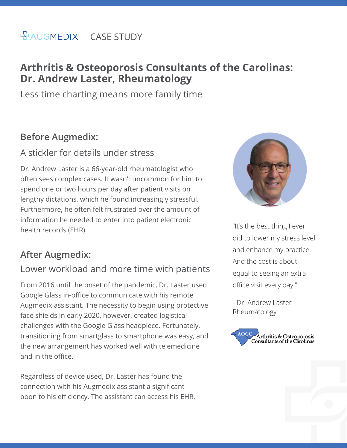# **Arthritis & Osteoporosis Consultants of the Carolinas: Dr. Andrew Laster, Rheumatology**

Less time charting means more family time

## **Before Augmedix:**

#### A stickler for details under stress

Dr. Andrew Laster is a 66-year-old rheumatologist who often sees complex cases. It wasn't uncommon for him to spend one or two hours per day after patient visits on lengthy dictations, which he found increasingly stressful. Furthermore, he often felt frustrated over the amount of information he needed to enter into patient electronic health records (EHR).

## **After Augmedix:**

#### Lower workload and more time with patients

From 2016 until the onset of the pandemic, Dr. Laster used Google Glass in-office to communicate with his remote Augmedix assistant. The necessity to begin using protective face shields in early 2020, however, created logistical challenges with the Google Glass headpiece. Fortunately, transitioning from smartglass to smartphone was easy, and the new arrangement has worked well with telemedicine and in the office.

Regardless of device used, Dr. Laster has found the connection with his Augmedix assistant a significant boon to his efficiency. The assistant can access his EHR,



"It's the best thing I ever did to lower my stress level and enhance my practice. And the cost is about equal to seeing an extra office visit every day."

- Dr. Andrew Laster Rheumatology